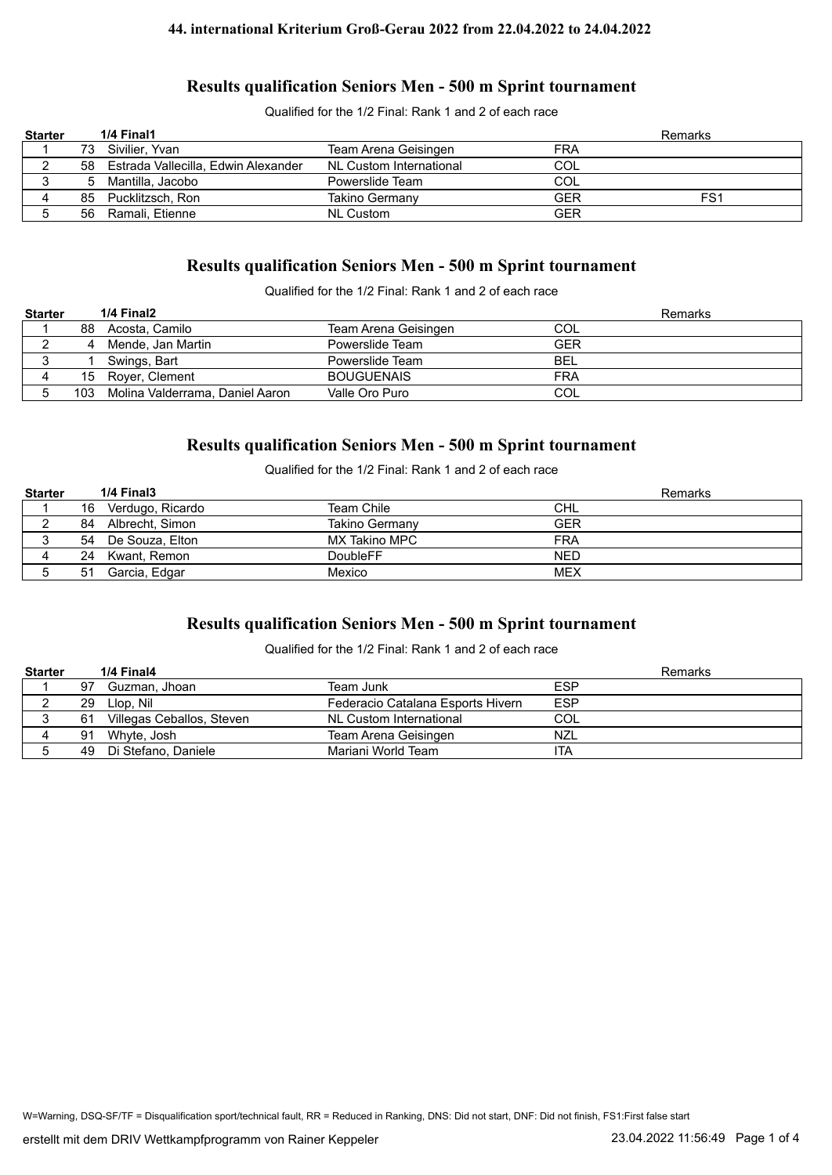Qualified for the 1/2 Final: Rank 1 and 2 of each race

| <b>Starter</b> |    | 1/4 Final1                             |                         |            | Remarks |
|----------------|----|----------------------------------------|-------------------------|------------|---------|
|                | 73 | Sivilier. Yvan                         | Team Arena Geisingen    | FRA        |         |
|                |    | 58 Estrada Vallecilla, Edwin Alexander | NL Custom International | COL        |         |
|                |    | Mantilla. Jacobo                       | Powerslide Team         | <b>COL</b> |         |
| 4              | 85 | Pucklitzsch, Ron                       | Takino Germany          | <b>GER</b> | FS1     |
|                | 56 | Ramali, Etienne                        | <b>NL Custom</b>        | <b>GER</b> |         |

# **Results qualification Seniors Men - 500 m Sprint tournament**

Qualified for the 1/2 Final: Rank 1 and 2 of each race

| <b>Starter</b> |     | 1/4 Final2                      |                      |            | Remarks |
|----------------|-----|---------------------------------|----------------------|------------|---------|
|                | 88  | Acosta. Camilo                  | Team Arena Geisingen | COL        |         |
|                |     | Mende, Jan Martin               | Powerslide Team      | <b>GER</b> |         |
|                |     | Swings, Bart                    | Powerslide Team      | BEL        |         |
|                |     | 15 Royer, Clement               | <b>BOUGUENAIS</b>    | <b>FRA</b> |         |
|                | 103 | Molina Valderrama. Daniel Aaron | Valle Oro Puro       | COL        |         |

## **Results qualification Seniors Men - 500 m Sprint tournament**

Qualified for the 1/2 Final: Rank 1 and 2 of each race

| <b>Starter</b> |    | $1/4$ Final $3$    |                 | <b>Remarks</b> |
|----------------|----|--------------------|-----------------|----------------|
|                | 16 | Verdugo, Ricardo   | Team Chile      | <b>CHL</b>     |
|                | 84 | Albrecht, Simon    | Takino Germany  | <b>GER</b>     |
|                |    | 54 De Souza, Elton | MX Takino MPC   | <b>FRA</b>     |
|                | 24 | Kwant. Remon       | <b>DoubleFF</b> | <b>NED</b>     |
|                | 51 | Garcia, Edgar      | Mexico          | MEX            |

# **Results qualification Seniors Men - 500 m Sprint tournament**

Qualified for the 1/2 Final: Rank 1 and 2 of each race

| <b>Starter</b> |    | 1/4 Final4                |                                   | Remarks    |
|----------------|----|---------------------------|-----------------------------------|------------|
|                | 97 | Guzman, Jhoan             | Team Junk                         | <b>ESP</b> |
|                | 29 | Llop. Nil                 | Federacio Catalana Esports Hivern | <b>ESP</b> |
|                | 61 | Villegas Ceballos, Steven | NL Custom International           | COL        |
|                | 91 | Whyte, Josh               | Team Arena Geisingen              | NZL        |
|                | 49 | Di Stefano, Daniele       | Mariani World Team                | ita        |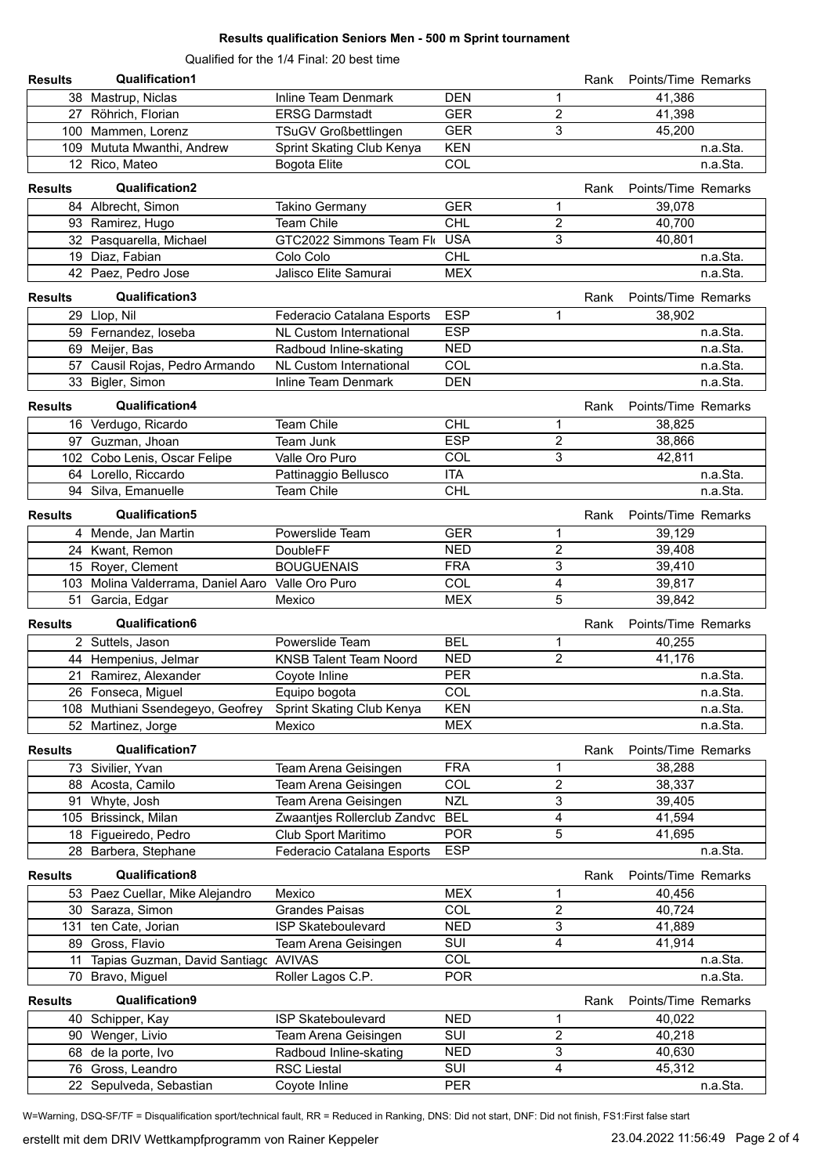Qualified for the 1/4 Final: 20 best time

| <b>Results</b> | <b>Qualification1</b>                             |                               |            |                | Rank | Points/Time Remarks |          |
|----------------|---------------------------------------------------|-------------------------------|------------|----------------|------|---------------------|----------|
|                | 38 Mastrup, Niclas                                | Inline Team Denmark           | <b>DEN</b> | 1              |      | 41,386              |          |
|                | 27 Röhrich, Florian                               | <b>ERSG Darmstadt</b>         | <b>GER</b> | $\overline{c}$ |      | 41,398              |          |
|                | 100 Mammen, Lorenz                                | <b>TSuGV Großbettlingen</b>   | <b>GER</b> | 3              |      | 45,200              |          |
|                | 109 Mututa Mwanthi, Andrew                        | Sprint Skating Club Kenya     | <b>KEN</b> |                |      |                     | n.a.Sta. |
|                | 12 Rico, Mateo                                    | <b>Bogota Elite</b>           | COL        |                |      |                     | n.a.Sta. |
|                |                                                   |                               |            |                |      |                     |          |
| <b>Results</b> | Qualification2                                    |                               |            |                | Rank | Points/Time Remarks |          |
|                | 84 Albrecht, Simon                                | Takino Germany                | <b>GER</b> | 1              |      | 39,078              |          |
|                | 93 Ramirez, Hugo                                  | <b>Team Chile</b>             | <b>CHL</b> | $\overline{c}$ |      | 40,700              |          |
|                | 32 Pasquarella, Michael                           | GTC2022 Simmons Team Flo      | <b>USA</b> | 3              |      | 40,801              |          |
|                | 19 Diaz, Fabian                                   | Colo Colo                     | <b>CHL</b> |                |      |                     | n.a.Sta. |
|                | 42 Paez, Pedro Jose                               | Jalisco Elite Samurai         | <b>MEX</b> |                |      |                     | n.a.Sta. |
| <b>Results</b> | Qualification3                                    |                               |            |                | Rank | Points/Time Remarks |          |
|                | 29 Llop, Nil                                      | Federacio Catalana Esports    | <b>ESP</b> | 1              |      | 38,902              |          |
|                | 59 Fernandez, loseba                              | NL Custom International       | <b>ESP</b> |                |      |                     | n.a.Sta. |
|                | 69 Meijer, Bas                                    | Radboud Inline-skating        | <b>NED</b> |                |      |                     | n.a.Sta. |
|                | 57 Causil Rojas, Pedro Armando                    | NL Custom International       | COL        |                |      |                     | n.a.Sta. |
|                | 33 Bigler, Simon                                  | <b>Inline Team Denmark</b>    | <b>DEN</b> |                |      |                     | n.a.Sta. |
|                | Qualification4                                    |                               |            |                |      |                     |          |
| <b>Results</b> |                                                   |                               |            |                | Rank | Points/Time Remarks |          |
|                | 16 Verdugo, Ricardo                               | <b>Team Chile</b>             | <b>CHL</b> | 1              |      | 38,825              |          |
|                | 97 Guzman, Jhoan                                  | Team Junk                     | <b>ESP</b> | $\overline{2}$ |      | 38,866              |          |
|                | 102 Cobo Lenis, Oscar Felipe                      | Valle Oro Puro                | COL        | 3              |      | 42,811              |          |
|                | 64 Lorello, Riccardo                              | Pattinaggio Bellusco          | <b>ITA</b> |                |      |                     | n.a.Sta. |
|                | 94 Silva, Emanuelle                               | Team Chile                    | <b>CHL</b> |                |      |                     | n.a.Sta. |
| <b>Results</b> | Qualification5                                    |                               |            |                | Rank | Points/Time Remarks |          |
|                | 4 Mende, Jan Martin                               | Powerslide Team               | <b>GER</b> | 1              |      | 39,129              |          |
|                | 24 Kwant, Remon                                   | DoubleFF                      | <b>NED</b> | $\overline{2}$ |      | 39,408              |          |
|                | 15 Royer, Clement                                 | <b>BOUGUENAIS</b>             | <b>FRA</b> | 3              |      | 39,410              |          |
|                | 103 Molina Valderrama, Daniel Aaro Valle Oro Puro |                               | COL        | 4              |      | 39,817              |          |
|                | 51 Garcia, Edgar                                  | Mexico                        | <b>MEX</b> | 5              |      | 39,842              |          |
| <b>Results</b> | Qualification6                                    |                               |            |                | Rank | Points/Time Remarks |          |
|                | 2 Suttels, Jason                                  | Powerslide Team               | <b>BEL</b> | 1              |      | 40,255              |          |
|                | 44 Hempenius, Jelmar                              | <b>KNSB Talent Team Noord</b> | <b>NED</b> | $\overline{2}$ |      | 41,176              |          |
|                | 21 Ramirez, Alexander                             | Coyote Inline                 | PER        |                |      |                     | n.a.Sta. |
|                | 26 Fonseca, Miguel                                | Equipo bogota                 | COL        |                |      |                     | n.a.Sta. |
|                | 108 Muthiani Ssendegeyo, Geofrey                  | Sprint Skating Club Kenya     | KEN        |                |      |                     | n.a.Sta. |
|                | 52 Martinez, Jorge                                | Mexico                        | <b>MEX</b> |                |      |                     | n.a.Sta. |
|                |                                                   |                               |            |                |      |                     |          |
| <b>Results</b> | <b>Qualification7</b>                             |                               |            |                | Rank | Points/Time Remarks |          |
|                | 73 Sivilier, Yvan                                 | Team Arena Geisingen          | <b>FRA</b> | 1              |      | 38,288              |          |
|                | 88 Acosta, Camilo                                 | Team Arena Geisingen          | COL        | $\overline{c}$ |      | 38,337              |          |
|                | 91 Whyte, Josh                                    | Team Arena Geisingen          | <b>NZL</b> | 3              |      | 39,405              |          |
|                | 105 Brissinck, Milan                              | Zwaantjes Rollerclub Zandvc   | <b>BEL</b> | 4              |      | 41,594              |          |
|                | 18 Figueiredo, Pedro                              | Club Sport Maritimo           | <b>POR</b> | 5              |      | 41,695              |          |
|                | 28 Barbera, Stephane                              | Federacio Catalana Esports    | <b>ESP</b> |                |      |                     | n.a.Sta. |
| <b>Results</b> | Qualification8                                    |                               |            |                | Rank | Points/Time Remarks |          |
|                | 53 Paez Cuellar, Mike Alejandro                   | Mexico                        | <b>MEX</b> | 1              |      | 40,456              |          |
|                | 30 Saraza, Simon                                  | <b>Grandes Paisas</b>         | COL        | $\overline{c}$ |      | 40,724              |          |
|                | 131 ten Cate, Jorian                              | ISP Skateboulevard            | <b>NED</b> | 3              |      | 41,889              |          |
|                | 89 Gross, Flavio                                  | Team Arena Geisingen          | SUI        | 4              |      | 41,914              |          |
|                | 11 Tapias Guzman, David Santiagc AVIVAS           |                               | COL        |                |      |                     | n.a.Sta. |
|                | 70 Bravo, Miguel                                  | Roller Lagos C.P.             | <b>POR</b> |                |      |                     | n.a.Sta. |
| <b>Results</b> | <b>Qualification9</b>                             |                               |            |                | Rank | Points/Time Remarks |          |
|                | 40 Schipper, Kay                                  | <b>ISP Skateboulevard</b>     | <b>NED</b> | 1              |      | 40,022              |          |
|                | 90 Wenger, Livio                                  | Team Arena Geisingen          | SUI        | 2              |      | 40,218              |          |
|                | 68 de la porte, Ivo                               | Radboud Inline-skating        | <b>NED</b> | 3              |      | 40,630              |          |
|                | 76 Gross, Leandro                                 | <b>RSC Liestal</b>            | <b>SUI</b> | 4              |      | 45,312              |          |
|                | 22 Sepulveda, Sebastian                           | Coyote Inline                 | <b>PER</b> |                |      |                     | n.a.Sta. |

W=Warning, DSQ-SF/TF = Disqualification sport/technical fault, RR = Reduced in Ranking, DNS: Did not start, DNF: Did not finish, FS1:First false start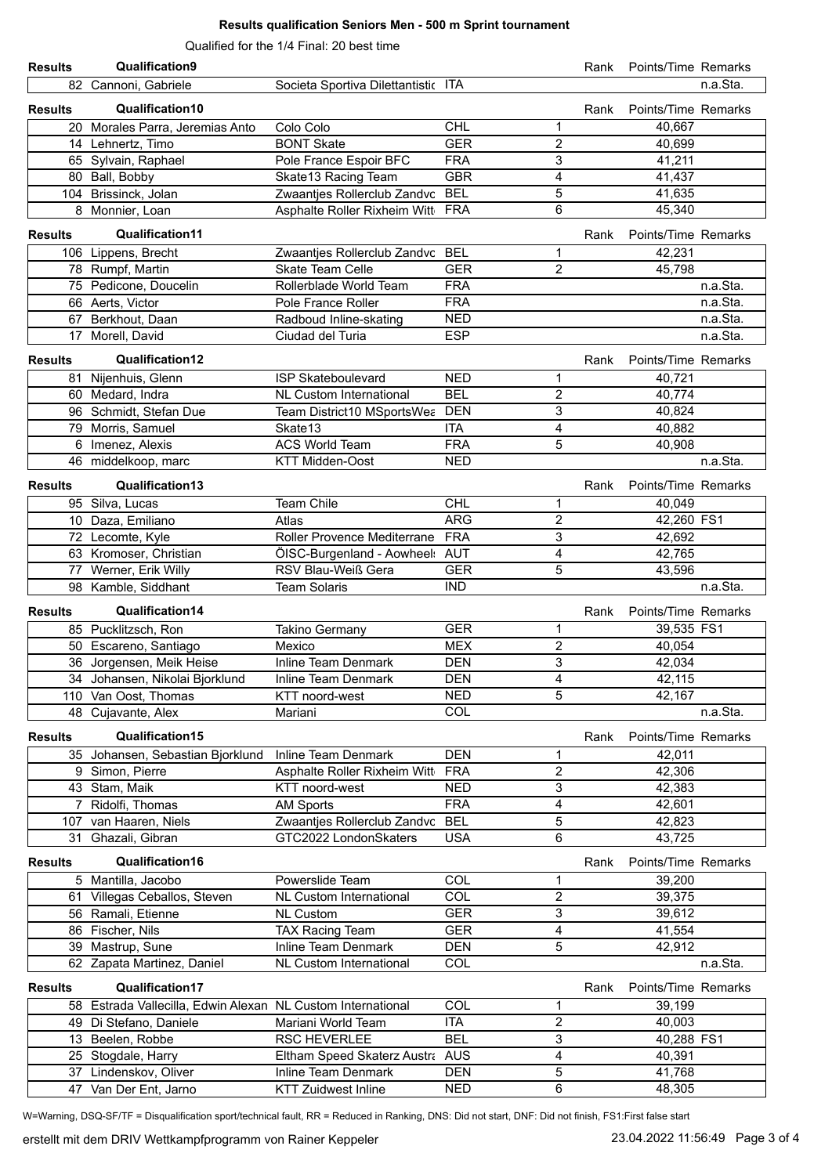Qualified for the 1/4 Final: 20 best time

| <b>Results</b> | Qualification9                                              |                                     |                          |                              | Rank | Points/Time Remarks |          |
|----------------|-------------------------------------------------------------|-------------------------------------|--------------------------|------------------------------|------|---------------------|----------|
|                | 82 Cannoni, Gabriele                                        | Societa Sportiva Dilettantistic ITA |                          |                              |      |                     | n.a.Sta. |
|                | Qualification10                                             |                                     |                          |                              |      |                     |          |
| <b>Results</b> |                                                             |                                     |                          |                              | Rank | Points/Time Remarks |          |
|                | 20 Morales Parra, Jeremias Anto                             | Colo Colo                           | <b>CHL</b>               | 1                            |      | 40,667              |          |
|                | 14 Lehnertz, Timo                                           | <b>BONT Skate</b>                   | <b>GER</b>               | $\overline{2}$               |      | 40,699              |          |
|                | 65 Sylvain, Raphael                                         | Pole France Espoir BFC              | <b>FRA</b>               | 3                            |      | 41,211              |          |
|                | 80 Ball, Bobby                                              | Skate13 Racing Team                 | <b>GBR</b><br><b>BEL</b> | 4<br>$\overline{5}$          |      | 41,437              |          |
|                | 104 Brissinck, Jolan                                        | Zwaantjes Rollerclub Zandvc         |                          | 6                            |      | 41,635              |          |
|                | 8 Monnier, Loan                                             | Asphalte Roller Rixheim Witt FRA    |                          |                              |      | 45,340              |          |
| <b>Results</b> | <b>Qualification11</b>                                      |                                     |                          |                              | Rank | Points/Time Remarks |          |
|                | 106 Lippens, Brecht                                         | Zwaantjes Rollerclub Zandvc BEL     |                          | 1                            |      | 42,231              |          |
|                | 78 Rumpf, Martin                                            | Skate Team Celle                    | <b>GER</b>               | $\overline{2}$               |      | 45,798              |          |
|                | 75 Pedicone, Doucelin                                       | Rollerblade World Team              | <b>FRA</b>               |                              |      |                     | n.a.Sta. |
|                | 66 Aerts, Victor                                            | Pole France Roller                  | <b>FRA</b>               |                              |      |                     | n.a.Sta. |
|                | 67 Berkhout, Daan                                           | Radboud Inline-skating              | <b>NED</b>               |                              |      |                     | n.a.Sta. |
|                | 17 Morell, David                                            | Ciudad del Turia                    | <b>ESP</b>               |                              |      |                     | n.a.Sta. |
| <b>Results</b> | Qualification12                                             |                                     |                          |                              | Rank | Points/Time Remarks |          |
|                | 81 Nijenhuis, Glenn                                         | <b>ISP Skateboulevard</b>           | <b>NED</b>               | 1                            |      | 40,721              |          |
|                | 60 Medard, Indra                                            | <b>NL Custom International</b>      | <b>BEL</b>               | $\overline{\mathbf{c}}$      |      | 40,774              |          |
|                | 96 Schmidt, Stefan Due                                      | Team District10 MSportsWea          | <b>DEN</b>               | 3                            |      | 40,824              |          |
|                | 79 Morris, Samuel                                           | Skate13                             | <b>ITA</b>               | 4                            |      | 40,882              |          |
|                | 6 Imenez, Alexis                                            | <b>ACS World Team</b>               | <b>FRA</b>               | 5                            |      | 40.908              |          |
|                | 46 middelkoop, marc                                         | <b>KTT Midden-Oost</b>              | <b>NED</b>               |                              |      |                     | n.a.Sta. |
|                |                                                             |                                     |                          |                              |      |                     |          |
| <b>Results</b> | Qualification13                                             |                                     |                          |                              | Rank | Points/Time Remarks |          |
|                | 95 Silva, Lucas                                             | Team Chile                          | <b>CHL</b>               | 1                            |      | 40,049              |          |
|                | 10 Daza, Emiliano                                           | Atlas                               | <b>ARG</b>               | $\overline{c}$               |      | 42,260 FS1          |          |
|                | 72 Lecomte, Kyle                                            | Roller Provence Mediterrane         | <b>FRA</b>               | 3                            |      | 42,692              |          |
|                | 63 Kromoser, Christian                                      | ÖISC-Burgenland - Aowheel: AUT      |                          | 4                            |      | 42,765              |          |
| 77             | Werner, Erik Willy                                          | <b>RSV Blau-Weiß Gera</b>           | <b>GER</b>               | 5                            |      | 43,596              |          |
|                | 98 Kamble, Siddhant                                         | <b>Team Solaris</b>                 | <b>IND</b>               |                              |      |                     | n.a.Sta. |
| <b>Results</b> | Qualification14                                             |                                     |                          |                              | Rank | Points/Time Remarks |          |
|                | 85 Pucklitzsch, Ron                                         | <b>Takino Germany</b>               | <b>GER</b>               | 1                            |      | 39,535 FS1          |          |
|                | 50 Escareno, Santiago                                       | Mexico                              | <b>MEX</b>               | $\overline{c}$               |      | 40,054              |          |
|                | 36 Jorgensen, Meik Heise                                    | <b>Inline Team Denmark</b>          | <b>DEN</b>               | 3                            |      | 42,034              |          |
|                | 34 Johansen, Nikolai Bjorklund                              | Inline Team Denmark                 | DEN                      | 4                            |      | 42,115              |          |
|                | 110 Van Oost, Thomas                                        | KTT noord-west                      | <b>NED</b>               | 5                            |      | 42,167              |          |
|                | 48 Cujavante, Alex                                          | Mariani                             | COL                      |                              |      |                     | n.a.Sta. |
|                |                                                             |                                     |                          |                              |      |                     |          |
| <b>Results</b> | Qualification15                                             |                                     |                          |                              | Rank | Points/Time Remarks |          |
|                | 35 Johansen, Sebastian Bjorklund                            | Inline Team Denmark                 | <b>DEN</b>               | 1                            |      | 42,011              |          |
|                | 9 Simon, Pierre                                             | Asphalte Roller Rixheim Witt        | <b>FRA</b>               | $\overline{c}$               |      | 42,306              |          |
|                | 43 Stam, Maik                                               | KTT noord-west                      | <b>NED</b>               | 3                            |      | 42,383              |          |
|                | 7 Ridolfi, Thomas                                           | <b>AM Sports</b>                    | <b>FRA</b>               | 4                            |      | 42,601              |          |
|                | 107 van Haaren, Niels                                       | Zwaantjes Rollerclub Zandvc         | <b>BEL</b>               | $\mathbf 5$<br>6             |      | 42,823              |          |
|                | 31 Ghazali, Gibran                                          | GTC2022 LondonSkaters               | <b>USA</b>               |                              |      | 43,725              |          |
| <b>Results</b> | Qualification16                                             |                                     |                          |                              | Rank | Points/Time Remarks |          |
|                | 5 Mantilla, Jacobo                                          | Powerslide Team                     | COL                      | 1                            |      | 39,200              |          |
|                | 61 Villegas Ceballos, Steven                                | <b>NL Custom International</b>      | COL                      | $\overline{c}$               |      | 39,375              |          |
|                | 56 Ramali, Etienne                                          | <b>NL Custom</b>                    | <b>GER</b>               | $\mathbf{3}$                 |      | 39,612              |          |
|                | 86 Fischer, Nils                                            | <b>TAX Racing Team</b>              | <b>GER</b>               | 4                            |      | 41,554              |          |
|                | 39 Mastrup, Sune                                            | Inline Team Denmark                 | <b>DEN</b>               | 5                            |      | 42,912              |          |
|                | 62 Zapata Martinez, Daniel                                  | NL Custom International             | COL                      |                              |      |                     | n.a.Sta. |
| <b>Results</b> | Qualification17                                             |                                     |                          |                              | Rank | Points/Time Remarks |          |
|                |                                                             |                                     | COL                      |                              |      |                     |          |
|                | 58 Estrada Vallecilla, Edwin Alexan NL Custom International | Mariani World Team                  | <b>ITA</b>               | 1<br>$\overline{\mathbf{c}}$ |      | 39,199<br>40,003    |          |
|                | 49 Di Stefano, Daniele<br>13 Beelen, Robbe                  | RSC HEVERLEE                        | <b>BEL</b>               | $\overline{3}$               |      | 40,288 FS1          |          |
|                | 25 Stogdale, Harry                                          | Eltham Speed Skaterz Austra AUS     |                          | 4                            |      | 40,391              |          |
|                | 37 Lindenskov, Oliver                                       | Inline Team Denmark                 | <b>DEN</b>               | $\mathbf 5$                  |      | 41,768              |          |
|                | 47 Van Der Ent, Jarno                                       | <b>KTT Zuidwest Inline</b>          | <b>NED</b>               | 6                            |      | 48,305              |          |
|                |                                                             |                                     |                          |                              |      |                     |          |

W=Warning, DSQ-SF/TF = Disqualification sport/technical fault, RR = Reduced in Ranking, DNS: Did not start, DNF: Did not finish, FS1:First false start